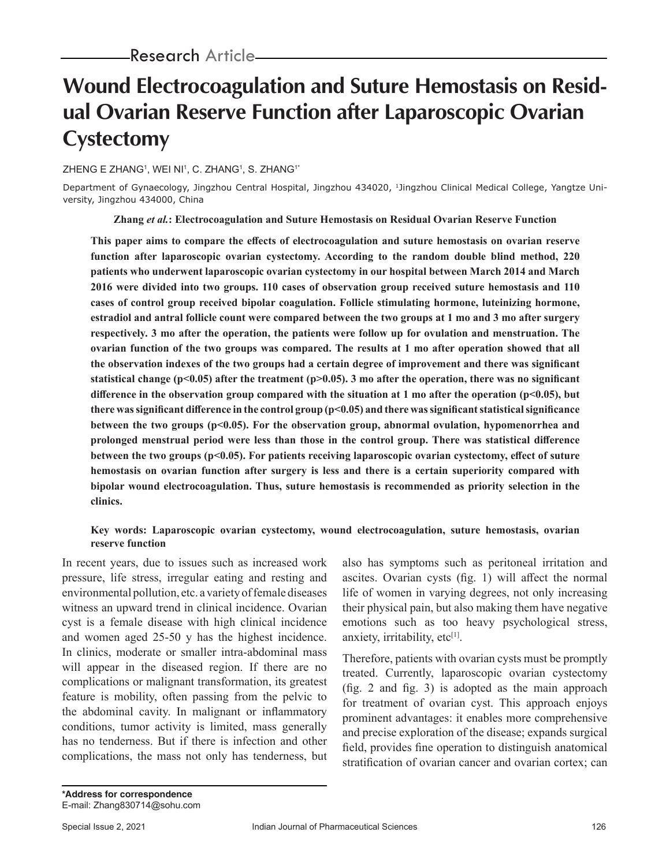# **Wound Electrocoagulation and Suture Hemostasis on Residual Ovarian Reserve Function after Laparoscopic Ovarian Cystectomy**

ZHENG E ZHANGʻ, WEI NIʻ, C. ZHANGʻ, S. ZHANGʻ $^\ast$ 

Department of Gynaecology, Jingzhou Central Hospital, Jingzhou 434020, 1Jingzhou Clinical Medical College, Yangtze University, Jingzhou 434000, China

**Zhang** *et al.***: Electrocoagulation and Suture Hemostasis on Residual Ovarian Reserve Function**

**This paper aims to compare the effects of electrocoagulation and suture hemostasis on ovarian reserve function after laparoscopic ovarian cystectomy. According to the random double blind method, 220 patients who underwent laparoscopic ovarian cystectomy in our hospital between March 2014 and March 2016 were divided into two groups. 110 cases of observation group received suture hemostasis and 110 cases of control group received bipolar coagulation. Follicle stimulating hormone, luteinizing hormone, estradiol and antral follicle count were compared between the two groups at 1 mo and 3 mo after surgery respectively. 3 mo after the operation, the patients were follow up for ovulation and menstruation. The ovarian function of the two groups was compared. The results at 1 mo after operation showed that all the observation indexes of the two groups had a certain degree of improvement and there was significant statistical change (p<0.05) after the treatment (p>0.05). 3 mo after the operation, there was no significant difference in the observation group compared with the situation at 1 mo after the operation (p<0.05), but there was significant difference in the control group (p<0.05) and there was significant statistical significance between the two groups (p<0.05). For the observation group, abnormal ovulation, hypomenorrhea and prolonged menstrual period were less than those in the control group. There was statistical difference between the two groups (p<0.05). For patients receiving laparoscopic ovarian cystectomy, effect of suture hemostasis on ovarian function after surgery is less and there is a certain superiority compared with bipolar wound electrocoagulation. Thus, suture hemostasis is recommended as priority selection in the clinics.**

#### **Key words: Laparoscopic ovarian cystectomy, wound electrocoagulation, suture hemostasis, ovarian reserve function**

In recent years, due to issues such as increased work pressure, life stress, irregular eating and resting and environmental pollution, etc. a variety of female diseases witness an upward trend in clinical incidence. Ovarian cyst is a female disease with high clinical incidence and women aged 25-50 y has the highest incidence. In clinics, moderate or smaller intra-abdominal mass will appear in the diseased region. If there are no complications or malignant transformation, its greatest feature is mobility, often passing from the pelvic to the abdominal cavity. In malignant or inflammatory conditions, tumor activity is limited, mass generally has no tenderness. But if there is infection and other complications, the mass not only has tenderness, but also has symptoms such as peritoneal irritation and ascites. Ovarian cysts (fig. 1) will affect the normal life of women in varying degrees, not only increasing their physical pain, but also making them have negative emotions such as too heavy psychological stress, anxiety, irritability,  $etc<sup>[1]</sup>$ .

Therefore, patients with ovarian cysts must be promptly treated. Currently, laparoscopic ovarian cystectomy (fig. 2 and fig. 3) is adopted as the main approach for treatment of ovarian cyst. This approach enjoys prominent advantages: it enables more comprehensive and precise exploration of the disease; expands surgical field, provides fine operation to distinguish anatomical stratification of ovarian cancer and ovarian cortex; can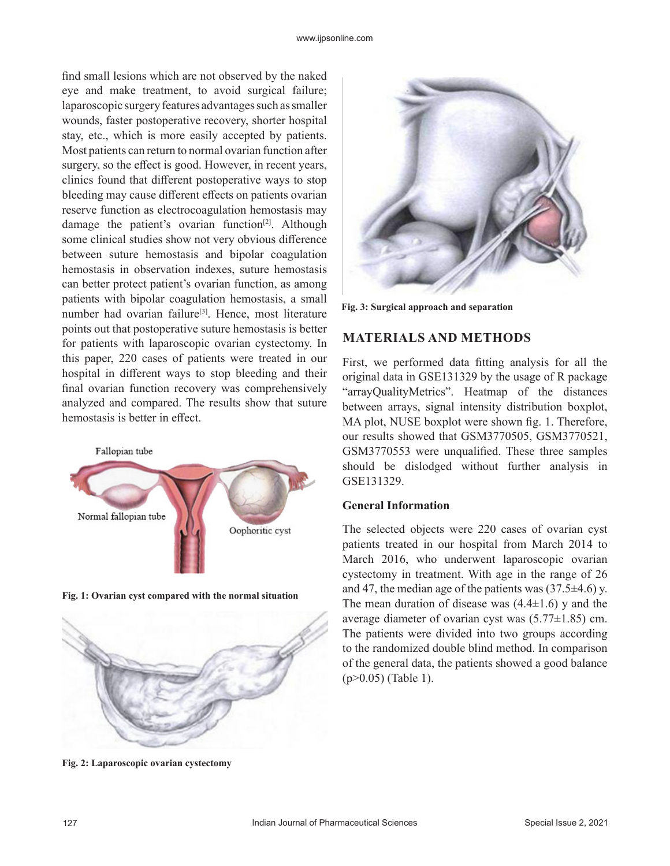find small lesions which are not observed by the naked eye and make treatment, to avoid surgical failure; laparoscopic surgery features advantages such as smaller wounds, faster postoperative recovery, shorter hospital stay, etc., which is more easily accepted by patients. Most patients can return to normal ovarian function after surgery, so the effect is good. However, in recent years, clinics found that different postoperative ways to stop bleeding may cause different effects on patients ovarian reserve function as electrocoagulation hemostasis may damage the patient's ovarian function<sup>[2]</sup>. Although some clinical studies show not very obvious difference between suture hemostasis and bipolar coagulation hemostasis in observation indexes, suture hemostasis can better protect patient's ovarian function, as among patients with bipolar coagulation hemostasis, a small number had ovarian failure<sup>[3]</sup>. Hence, most literature points out that postoperative suture hemostasis is better for patients with laparoscopic ovarian cystectomy. In this paper, 220 cases of patients were treated in our hospital in different ways to stop bleeding and their final ovarian function recovery was comprehensively analyzed and compared. The results show that suture hemostasis is better in effect.



**Fig. 1: Ovarian cyst compared with the normal situation**





**Fig. 3: Surgical approach and separation**

## **MATERIALS AND METHODS**

First, we performed data fitting analysis for all the original data in GSE131329 by the usage of R package "arrayQualityMetrics". Heatmap of the distances between arrays, signal intensity distribution boxplot, MA plot, NUSE boxplot were shown fig. 1. Therefore, our results showed that GSM3770505, GSM3770521, GSM3770553 were unqualified. These three samples should be dislodged without further analysis in GSE131329.

#### **General Information**

The selected objects were 220 cases of ovarian cyst patients treated in our hospital from March 2014 to March 2016, who underwent laparoscopic ovarian cystectomy in treatment. With age in the range of 26 and 47, the median age of the patients was  $(37.5\pm4.6)$  y. The mean duration of disease was  $(4.4\pm1.6)$  y and the average diameter of ovarian cyst was  $(5.77 \pm 1.85)$  cm. The patients were divided into two groups according to the randomized double blind method. In comparison of the general data, the patients showed a good balance (p>0.05) (Table 1).

**Fig. 2: Laparoscopic ovarian cystectomy**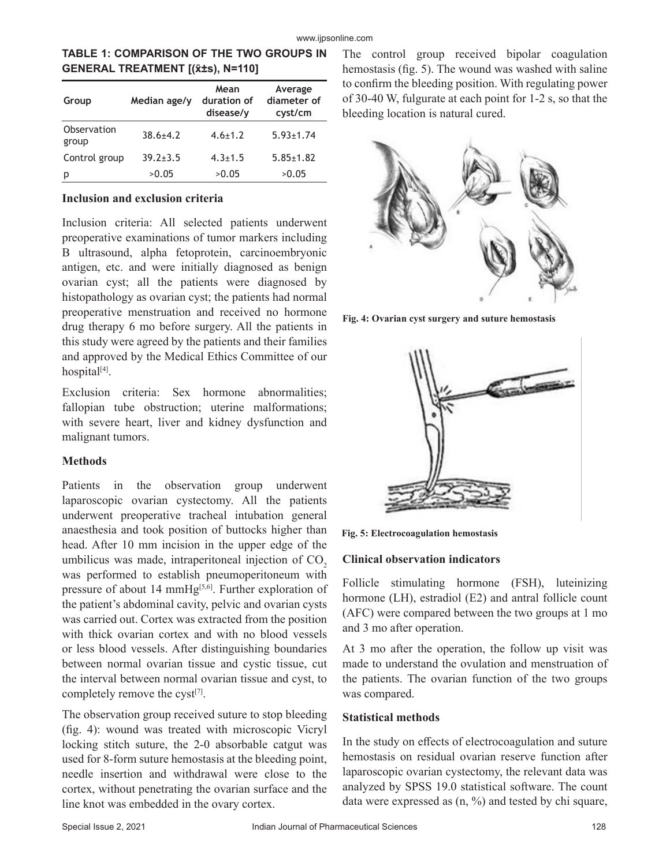| <b>GENERAL TREATMENT [(x̄±s), N=110]</b> |              |                                  |                                   |  |  |  |
|------------------------------------------|--------------|----------------------------------|-----------------------------------|--|--|--|
| Group                                    | Median age/y | Mean<br>duration of<br>disease/y | Average<br>diameter of<br>cyst/cm |  |  |  |
| Observation<br>group                     | $38.6 + 4.2$ | $4.6 + 1.2$                      | $5.93 \pm 1.74$                   |  |  |  |
| Control group                            | $39.2 + 3.5$ | $4.3 \pm 1.5$                    | $5.85 \pm 1.82$                   |  |  |  |

p >0.05 >0.05 >0.05

# **TABLE 1: COMPARISON OF THE TWO GROUPS IN**

#### **Inclusion and exclusion criteria**

Inclusion criteria: All selected patients underwent preoperative examinations of tumor markers including B ultrasound, alpha fetoprotein, carcinoembryonic antigen, etc. and were initially diagnosed as benign ovarian cyst; all the patients were diagnosed by histopathology as ovarian cyst; the patients had normal preoperative menstruation and received no hormone drug therapy 6 mo before surgery. All the patients in this study were agreed by the patients and their families and approved by the Medical Ethics Committee of our hospital<sup>[4]</sup>.

Exclusion criteria: Sex hormone abnormalities; fallopian tube obstruction; uterine malformations; with severe heart, liver and kidney dysfunction and malignant tumors.

#### **Methods**

Patients in the observation group underwent laparoscopic ovarian cystectomy. All the patients underwent preoperative tracheal intubation general anaesthesia and took position of buttocks higher than head. After 10 mm incision in the upper edge of the umbilicus was made, intraperitoneal injection of  $CO<sub>2</sub>$ was performed to establish pneumoperitoneum with pressure of about 14 mmHg<sup>[5,6]</sup>. Further exploration of the patient's abdominal cavity, pelvic and ovarian cysts was carried out. Cortex was extracted from the position with thick ovarian cortex and with no blood vessels or less blood vessels. After distinguishing boundaries between normal ovarian tissue and cystic tissue, cut the interval between normal ovarian tissue and cyst, to completely remove the cyst $[7]$ .

The observation group received suture to stop bleeding (fig. 4): wound was treated with microscopic Vicryl locking stitch suture, the 2-0 absorbable catgut was used for 8-form suture hemostasis at the bleeding point, needle insertion and withdrawal were close to the cortex, without penetrating the ovarian surface and the line knot was embedded in the ovary cortex.

The control group received bipolar coagulation hemostasis (fig. 5). The wound was washed with saline to confirm the bleeding position. With regulating power of 30-40 W, fulgurate at each point for 1-2 s, so that the bleeding location is natural cured.



**Fig. 4: Ovarian cyst surgery and suture hemostasis**



**Fig. 5: Electrocoagulation hemostasis**

#### **Clinical observation indicators**

Follicle stimulating hormone (FSH), luteinizing hormone (LH), estradiol (E2) and antral follicle count (AFC) were compared between the two groups at 1 mo and 3 mo after operation.

At 3 mo after the operation, the follow up visit was made to understand the ovulation and menstruation of the patients. The ovarian function of the two groups was compared.

# **Statistical methods**

In the study on effects of electrocoagulation and suture hemostasis on residual ovarian reserve function after laparoscopic ovarian cystectomy, the relevant data was analyzed by SPSS 19.0 statistical software. The count data were expressed as  $(n, %)$  and tested by chi square,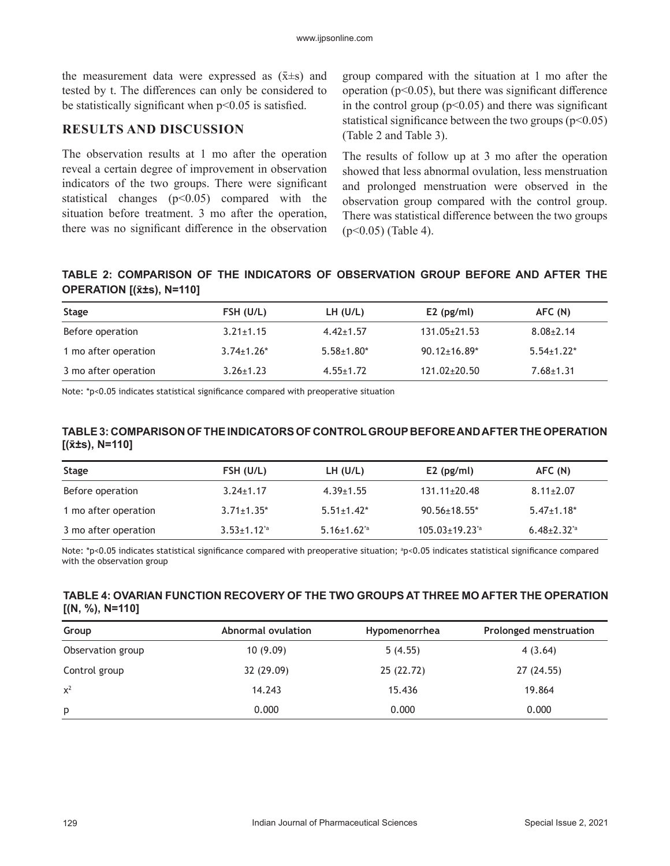the measurement data were expressed as  $(\bar{x} \pm s)$  and tested by t. The differences can only be considered to be statistically significant when  $p<0.05$  is satisfied.

# **RESULTS AND DISCUSSION**

The observation results at 1 mo after the operation reveal a certain degree of improvement in observation indicators of the two groups. There were significant statistical changes  $(p<0.05)$  compared with the situation before treatment. 3 mo after the operation, there was no significant difference in the observation group compared with the situation at 1 mo after the operation ( $p<0.05$ ), but there was significant difference in the control group  $(p<0.05)$  and there was significant statistical significance between the two groups ( $p<0.05$ ) (Table 2 and Table 3).

The results of follow up at 3 mo after the operation showed that less abnormal ovulation, less menstruation and prolonged menstruation were observed in the observation group compared with the control group. There was statistical difference between the two groups  $(p<0.05)$  (Table 4).

## **TABLE 2: COMPARISON OF THE INDICATORS OF OBSERVATION GROUP BEFORE AND AFTER THE OPERATION [(x̄±s), N=110]**

| Stage                | FSH (U/L)         | LH (U/L)          | $E2$ (pg/ml)       | AFC (N)           |
|----------------------|-------------------|-------------------|--------------------|-------------------|
| Before operation     | $3.21 \pm 1.15$   | $4.42 \pm 1.57$   | $131.05 \pm 21.53$ | $8.08 \pm 2.14$   |
| 1 mo after operation | $3.74 \pm 1.26$ * | $5.58 \pm 1.80^*$ | $90.12 \pm 16.89*$ | $5.54 \pm 1.22$ * |
| 3 mo after operation | $3.26 \pm 1.23$   | $4.55 \pm 1.72$   | $121.02 \pm 20.50$ | $7.68 \pm 1.31$   |

Note: \*p<0.05 indicates statistical significance compared with preoperative situation

#### **TABLE 3: COMPARISON OF THE INDICATORS OF CONTROL GROUP BEFORE AND AFTER THE OPERATION [(x̄±s), N=110]**

| Stage                | FSH (U/L)           | LH (U/L)                      | $E2$ (pg/ml)                  | AFC (N)                       |
|----------------------|---------------------|-------------------------------|-------------------------------|-------------------------------|
| Before operation     | $3.24 \pm 1.17$     | $4.39 \pm 1.55$               | $131.11 \pm 20.48$            | $8.11 \pm 2.07$               |
| 1 mo after operation | $3.71 \pm 1.35^*$   | $5.51 \pm 1.42^*$             | $90.56 \pm 18.55$ *           | $5.47 \pm 1.18$ *             |
| 3 mo after operation | $3.53 \pm 1.12^{4}$ | $5.16 \pm 1.62$ <sup>*a</sup> | $105.03 \pm 19.23$ $^{\circ}$ | $6.48 \pm 2.32$ <sup>*a</sup> |

Note: \*p<0.05 indicates statistical significance compared with preoperative situation; <sup>a</sup> p<0.05 indicates statistical significance compared with the observation group

#### **TABLE 4: OVARIAN FUNCTION RECOVERY OF THE TWO GROUPS AT THREE MO AFTER THE OPERATION [(N, %), N=110]**

| Group             | Abnormal ovulation<br>Hypomenorrhea |            | <b>Prolonged menstruation</b> |  |  |
|-------------------|-------------------------------------|------------|-------------------------------|--|--|
| Observation group | 10(9.09)                            | 5(4.55)    | 4(3.64)                       |  |  |
| Control group     | 32 (29.09)                          | 25 (22.72) | 27(24.55)                     |  |  |
| $x^2$             | 14.243                              | 15.436     | 19.864                        |  |  |
| p                 | 0.000                               | 0.000      | 0.000                         |  |  |